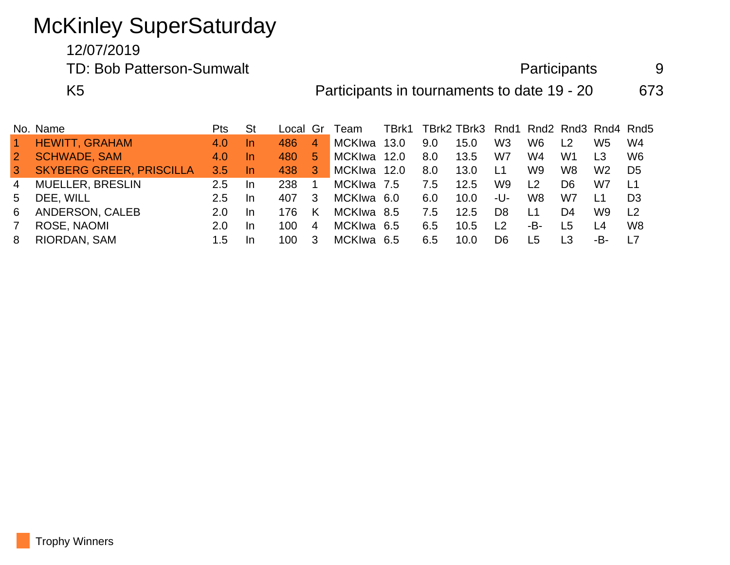## McKinley SuperSaturday

12/07/2019

TD: Bob Patterson-Sumwalt and Participants 9

K5 **Participants in tournaments to date 19 - 20** 673

|                      | No. Name                        | Pts.          | <b>St</b> | Local Gr |                 | Team        |     | TBrk1 TBrk2 TBrk3 Rnd1 Rnd2 Rnd3 Rnd4 Rnd5 |                |                |                |                 |                |
|----------------------|---------------------------------|---------------|-----------|----------|-----------------|-------------|-----|--------------------------------------------|----------------|----------------|----------------|-----------------|----------------|
| $\blacktriangleleft$ | <b>HEWITT, GRAHAM</b>           | 4.0           | -In       | 486      | $\overline{4}$  | MCKIwa 13.0 | 9.0 | 15.0                                       | W3             | W6             | L <sub>2</sub> | W5              | W4             |
| 2 <sup>2</sup>       | <b>SCHWADE, SAM</b>             | 4.0           | -In       | 480      | 5.              | MCKIwa 12.0 | 8.0 | 13.5                                       | W7             | W4             | W1             | I 3             | W <sub>6</sub> |
| $\mathbf{3}$         | <b>SKYBERG GREER, PRISCILLA</b> | 3.5           | -In       | 438      | $\vert 3 \vert$ | MCKIwa 12.0 | 8.0 | 13.0                                       | L <sub>1</sub> | W <sub>9</sub> | W8             | W <sub>2</sub>  | D <sub>5</sub> |
| $\overline{4}$       | <b>MUELLER, BRESLIN</b>         | 2.5           | -In       | 238      |                 | MCKIwa 7.5  | 7.5 | 12.5                                       | W9             | L <sub>2</sub> | D6             | W7              | L1             |
| 5 <sup>5</sup>       | DEE, WILL                       | $2.5^{\circ}$ | -In       | 407      | 3               | MCKIwa 6.0  | 6.0 | 10.0 <sub>1</sub>                          | -U-            | W8             | W7             | $\overline{11}$ | D <sub>3</sub> |
| 6                    | ANDERSON, CALEB                 | $2.0^{\circ}$ | -In       | 176.     | K               | MCKIwa 8.5  | 7.5 | 12.5                                       | D <sub>8</sub> | L1             | D4             | W9              | L <sub>2</sub> |
| 7                    | ROSE, NAOMI                     | 2.0           | <u>In</u> | 100      | $\overline{4}$  | MCKIwa 6.5  | 6.5 | 10.5                                       | $\overline{2}$ | -B-            | L5             | I 4             | W <sub>8</sub> |
| 8                    | RIORDAN, SAM                    | 1.5           | -In       | 100.     | 3               | MCKIwa 6.5  | 6.5 | 10.0                                       | D6.            | L5             | I 3            | -B-             | L7             |